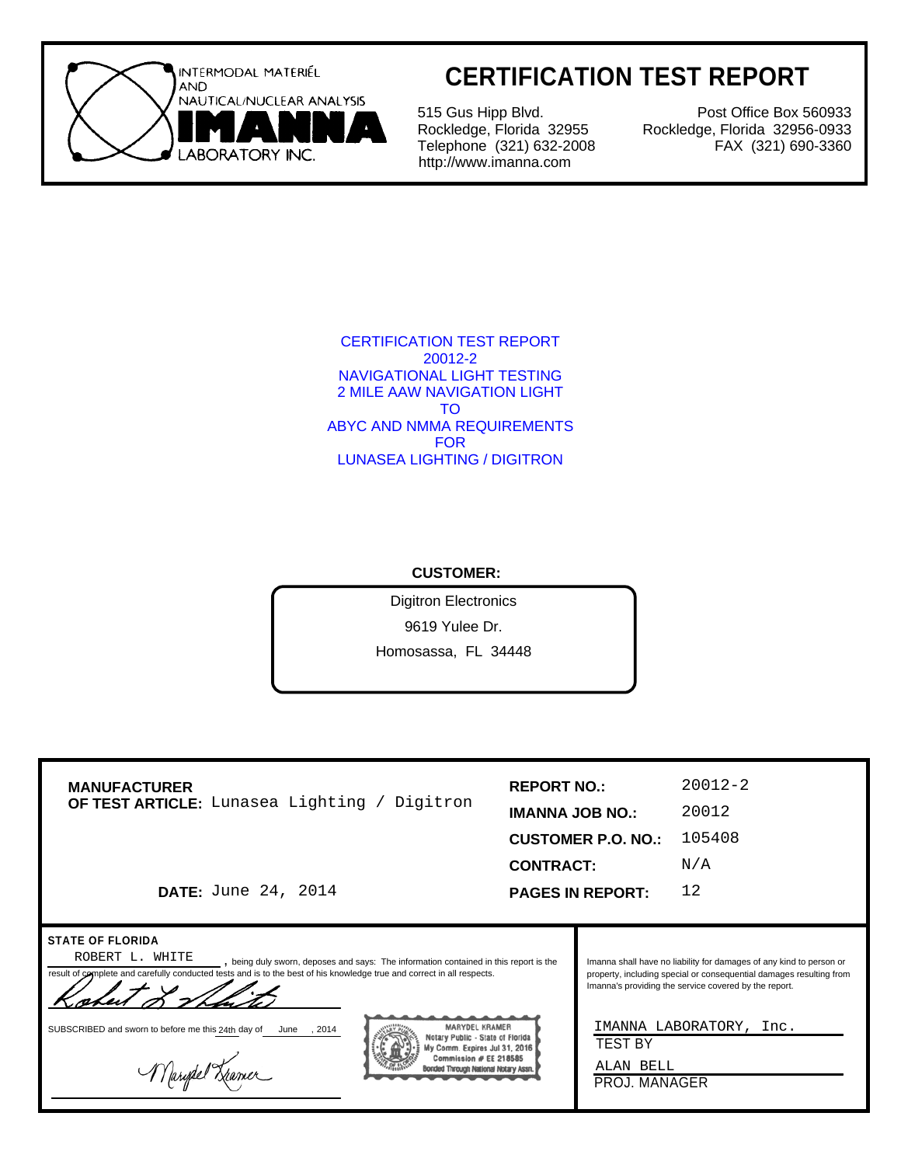

## **CERTIFICATION TEST REPORT**

515 Gus Hipp Blvd. Rockledge, Florida 32955 Telephone (321) 632-2008 http://www.imanna.com

Post Office Box 560933 Rockledge, Florida 32956-0933 FAX (321) 690-3360

CERTIFICATION TEST REPORT 20012-2 NAVIGATIONAL LIGHT TESTING 2 MILE AAW NAVIGATION LIGHT TO ABYC AND NMMA REQUIREMENTS FOR LUNASEA LIGHTING / DIGITRON

#### **CUSTOMER:**

Digitron Electronics 9619 Yulee Dr. Homosassa, FL 34448

| <b>MANUFACTURER</b><br>OF TEST ARTICLE: Lunasea Lighting / Digitron                                                                                                                                                                                           | <b>REPORT NO.:</b>     |                           | $20012 - 2$                                                                                                                                                                                         |
|---------------------------------------------------------------------------------------------------------------------------------------------------------------------------------------------------------------------------------------------------------------|------------------------|---------------------------|-----------------------------------------------------------------------------------------------------------------------------------------------------------------------------------------------------|
|                                                                                                                                                                                                                                                               | <b>IMANNA JOB NO.:</b> |                           | 20012                                                                                                                                                                                               |
|                                                                                                                                                                                                                                                               |                        | <b>CUSTOMER P.O. NO.:</b> | 105408                                                                                                                                                                                              |
|                                                                                                                                                                                                                                                               |                        | <b>CONTRACT:</b>          | N/A                                                                                                                                                                                                 |
| <b>DATE:</b> June 24, 2014                                                                                                                                                                                                                                    |                        | <b>PAGES IN REPORT:</b>   | 12                                                                                                                                                                                                  |
|                                                                                                                                                                                                                                                               |                        |                           |                                                                                                                                                                                                     |
| <b>STATE OF FLORIDA</b><br>ROBERT L. WHITE<br>, being duly sworn, deposes and says: The information contained in this report is the<br>result of complete and carefully conducted tests and is to the best of his knowledge true and correct in all respects. |                        |                           | Imanna shall have no liability for damages of any kind to person or<br>property, including special or consequential damages resulting from<br>Imanna's providing the service covered by the report. |

SUBSCRIBED and sworn to before me this 24th day of June , 2014

Marytel Kramer



IMANNA LABORATORY, Inc.

TEST BY

ALAN BELL PROJ. MANAGER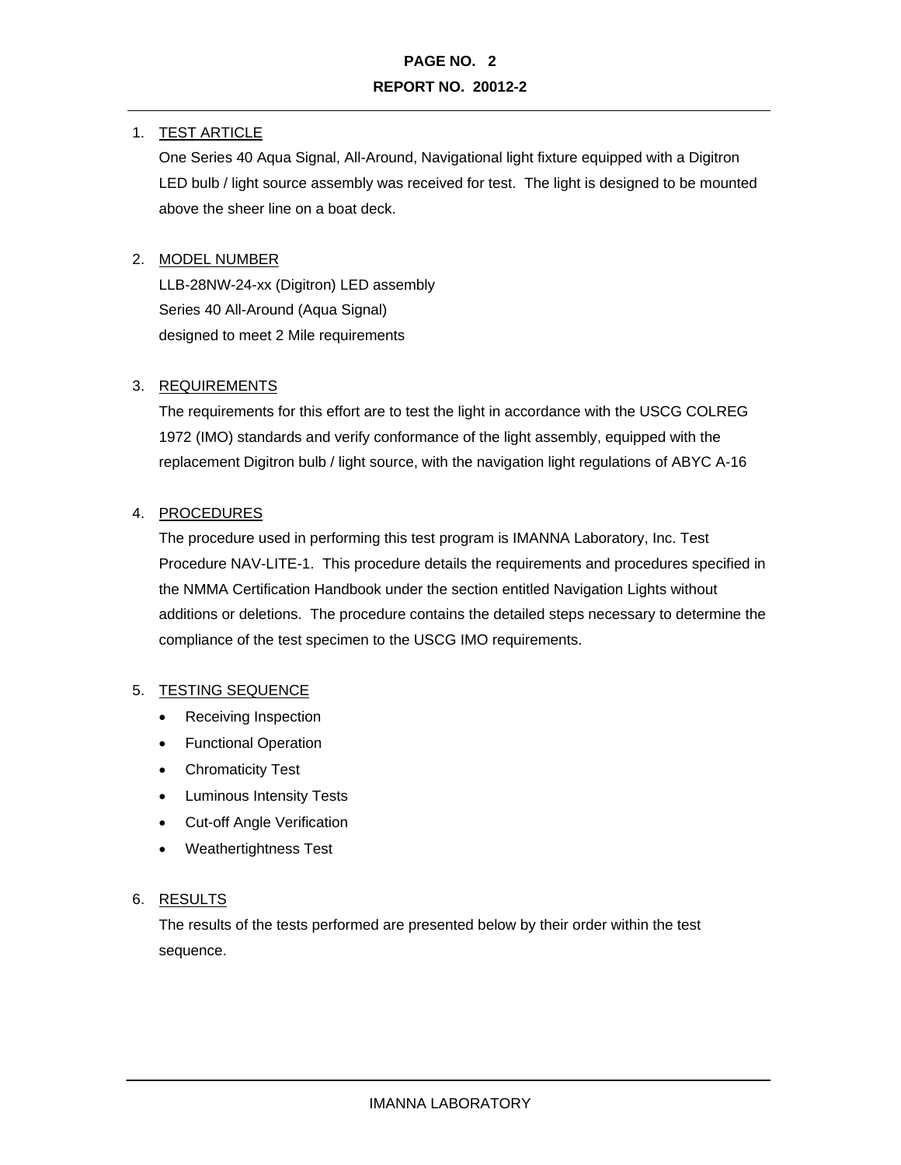#### 1. TEST ARTICLE

One Series 40 Aqua Signal, All-Around, Navigational light fixture equipped with a Digitron LED bulb / light source assembly was received for test. The light is designed to be mounted above the sheer line on a boat deck.

#### 2. MODEL NUMBER

LLB-28NW-24-xx (Digitron) LED assembly Series 40 All-Around (Aqua Signal) designed to meet 2 Mile requirements

#### 3. REQUIREMENTS

The requirements for this effort are to test the light in accordance with the USCG COLREG 1972 (IMO) standards and verify conformance of the light assembly, equipped with the replacement Digitron bulb / light source, with the navigation light regulations of ABYC A-16

#### 4. PROCEDURES

The procedure used in performing this test program is IMANNA Laboratory, Inc. Test Procedure NAV-LITE-1. This procedure details the requirements and procedures specified in the NMMA Certification Handbook under the section entitled Navigation Lights without additions or deletions. The procedure contains the detailed steps necessary to determine the compliance of the test specimen to the USCG IMO requirements.

#### 5. TESTING SEQUENCE

- Receiving Inspection
- Functional Operation
- Chromaticity Test
- Luminous Intensity Tests
- Cut-off Angle Verification
- Weathertightness Test

#### 6. RESULTS

The results of the tests performed are presented below by their order within the test sequence.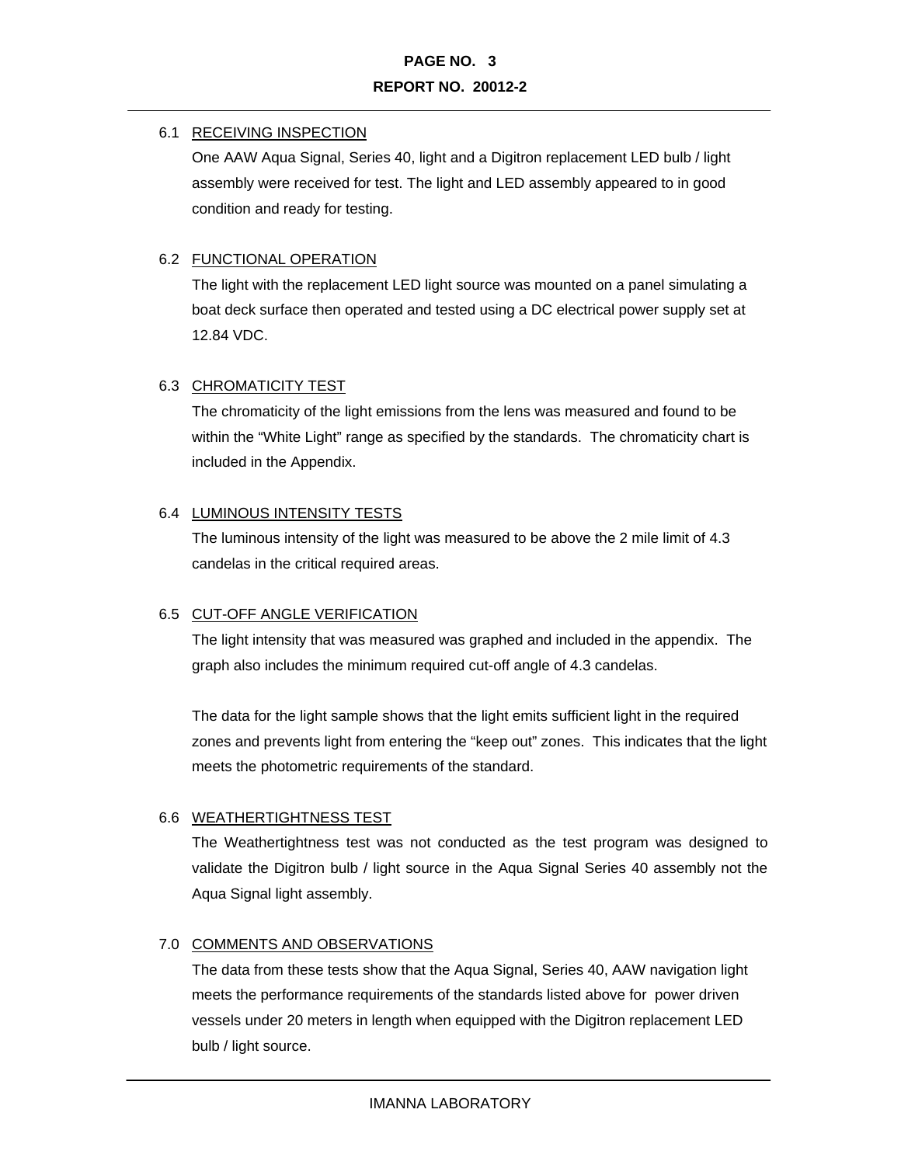#### 6.1 RECEIVING INSPECTION

One AAW Aqua Signal, Series 40, light and a Digitron replacement LED bulb / light assembly were received for test. The light and LED assembly appeared to in good condition and ready for testing.

#### 6.2 FUNCTIONAL OPERATION

The light with the replacement LED light source was mounted on a panel simulating a boat deck surface then operated and tested using a DC electrical power supply set at 12.84 VDC.

#### 6.3 CHROMATICITY TEST

The chromaticity of the light emissions from the lens was measured and found to be within the "White Light" range as specified by the standards. The chromaticity chart is included in the Appendix.

#### 6.4 LUMINOUS INTENSITY TESTS

The luminous intensity of the light was measured to be above the 2 mile limit of 4.3 candelas in the critical required areas.

#### 6.5 CUT-OFF ANGLE VERIFICATION

The light intensity that was measured was graphed and included in the appendix. The graph also includes the minimum required cut-off angle of 4.3 candelas.

The data for the light sample shows that the light emits sufficient light in the required zones and prevents light from entering the "keep out" zones. This indicates that the light meets the photometric requirements of the standard.

#### 6.6 WEATHERTIGHTNESS TEST

The Weathertightness test was not conducted as the test program was designed to validate the Digitron bulb / light source in the Aqua Signal Series 40 assembly not the Aqua Signal light assembly.

#### 7.0 COMMENTS AND OBSERVATIONS

The data from these tests show that the Aqua Signal, Series 40, AAW navigation light meets the performance requirements of the standards listed above for power driven vessels under 20 meters in length when equipped with the Digitron replacement LED bulb / light source.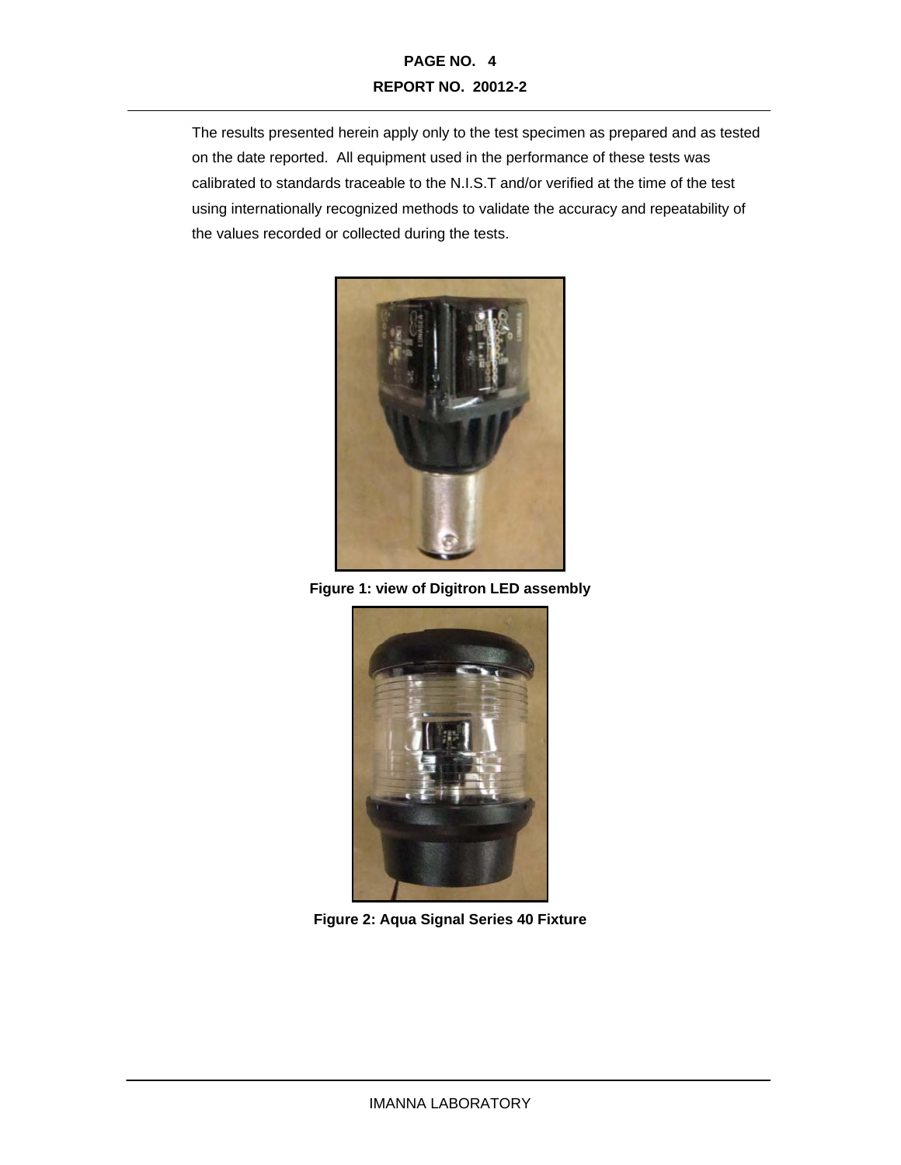### **PAGE NO. 4 REPORT NO. 20012-2**

The results presented herein apply only to the test specimen as prepared and as tested on the date reported. All equipment used in the performance of these tests was calibrated to standards traceable to the N.I.S.T and/or verified at the time of the test using internationally recognized methods to validate the accuracy and repeatability of the values recorded or collected during the tests.



**Figure 1: view of Digitron LED assembly** 



**Figure 2: Aqua Signal Series 40 Fixture**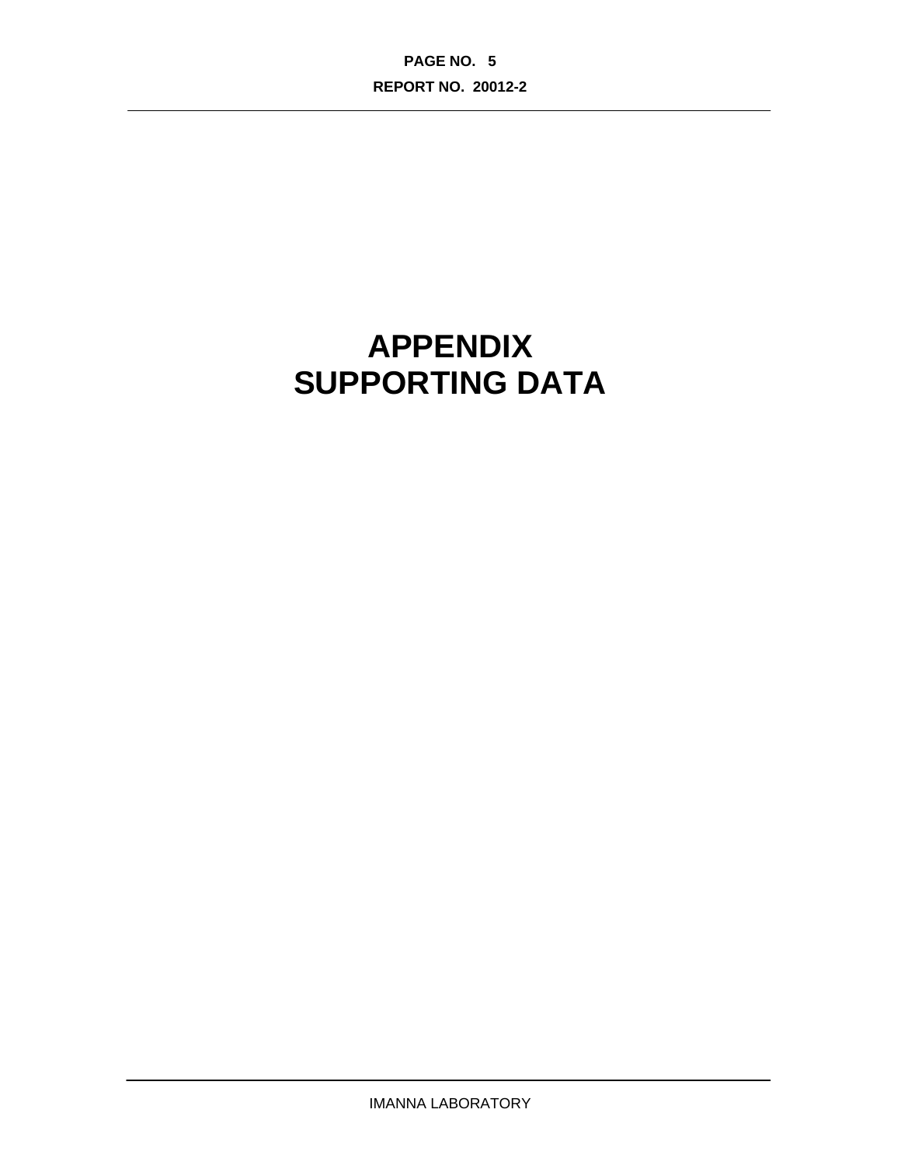**PAGE NO. 5 REPORT NO. 20012-2** 

# **APPENDIX SUPPORTING DATA**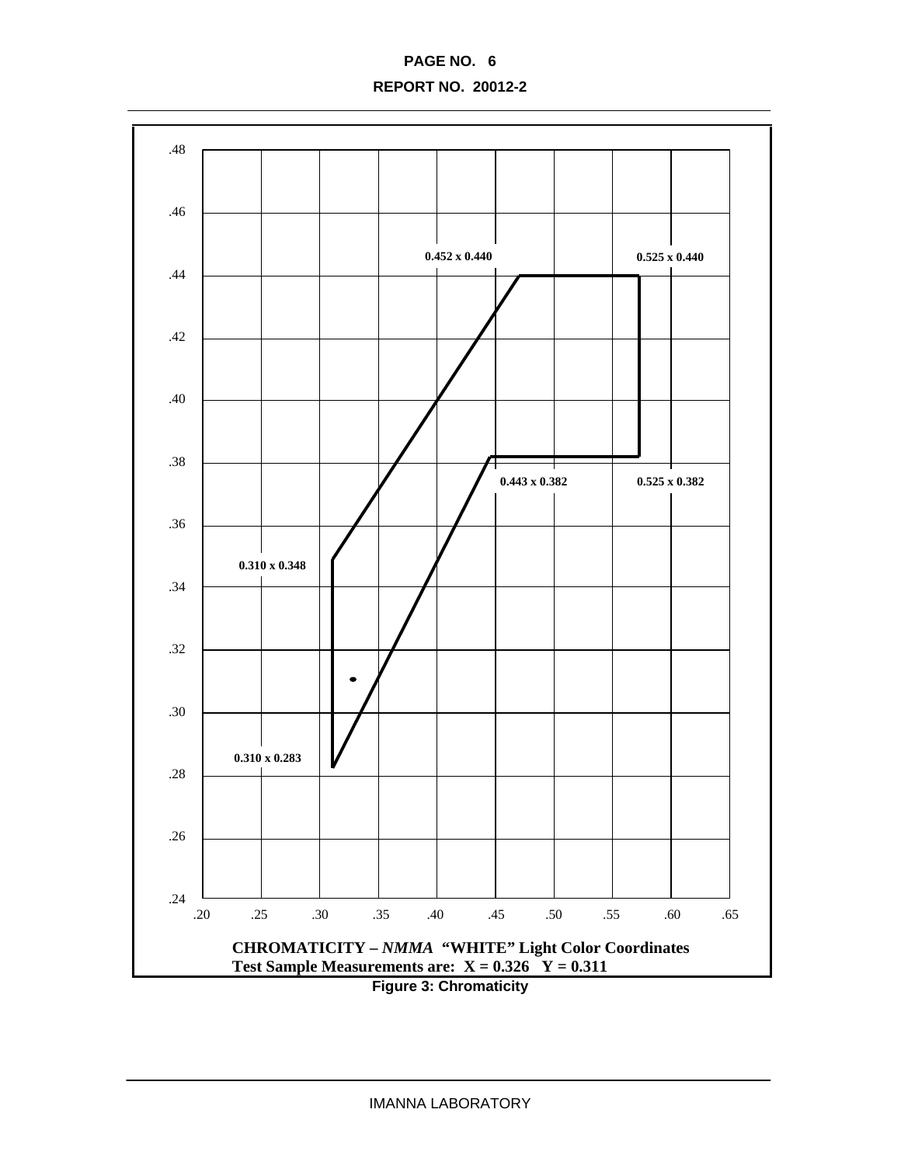**PAGE NO. 6 REPORT NO. 20012-2** 

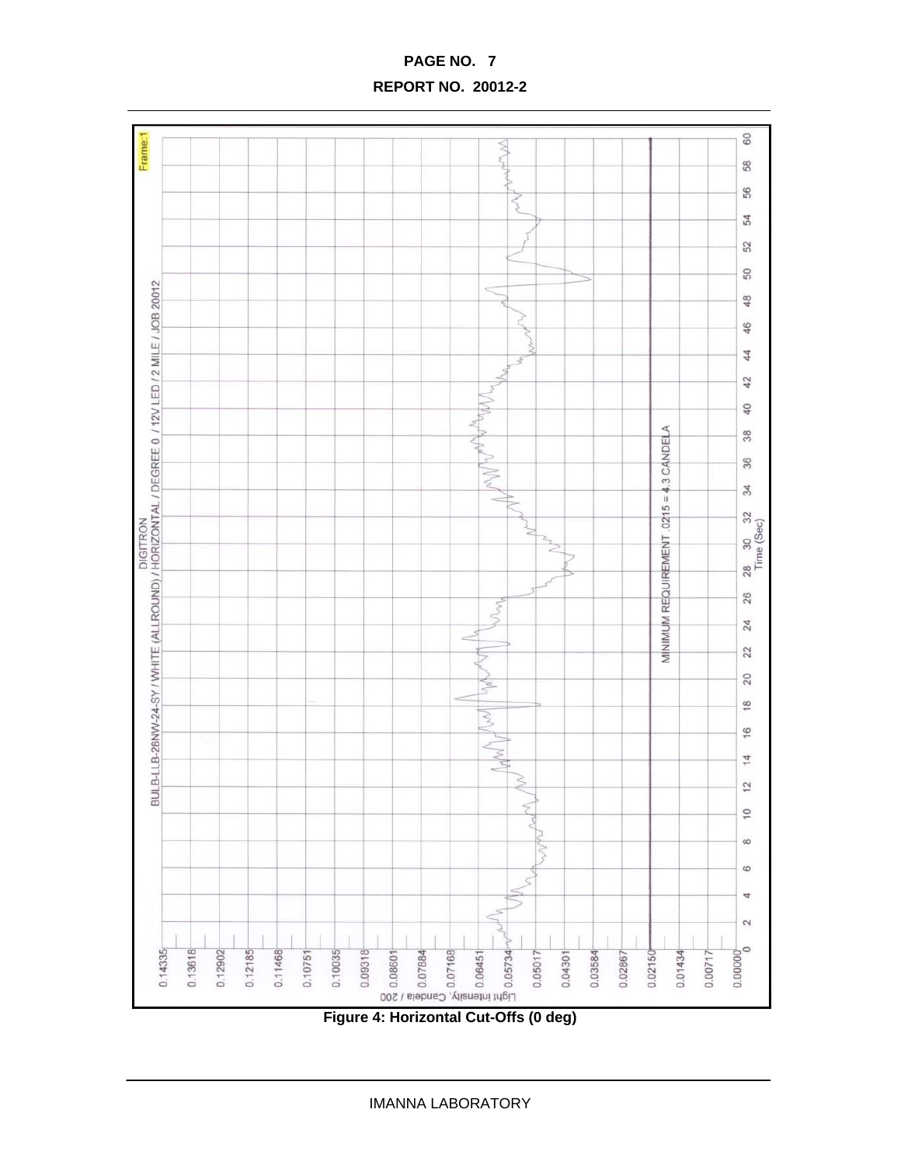$_{\rm 60}$ Frame:1 Ś 58 56 š 54 52  $50\,$ BULB-LLB-28NW-24-SY / WHITE (ALLROUND) / HORIZONTAL DEGREE 0 / 12V LED / 2 MILE / JOB 20012<br>DIGITRIO HOTEL ON TROLLOUS DESCRIPTION ė 48 46 44 42 Mun 40  $0215 = 4.3$  CANDELA  $38$ ŧ 36  $\geqslant$  $34$  $\sim$ 28 30 32<br>Time (Sec) MINIMUM REQUIREMENT 26 Non, 24 è  $22$  $20\,$ Ś  $\frac{8}{1}$  $\geq$ 16 Þ  $14$  $\frac{2}{3}$  $\overline{C}$  $\infty$  $\omega$  $\leq$  $\ddot{\sigma}$  $\leq$  $\sim$  $0.00000$ 0.13618  $0.14335$ 0.11468 0.12902  $0.12185$  $0.10035$ 0.02150  $0.00717$  $0.10751$ 0.09318 0.05017 0.03584 0.01434  $0.04301$ 0.02867

## **PAGE NO. 7 REPORT NO. 20012-2**

**Figure 4: Horizontal Cut-Offs (0 deg)**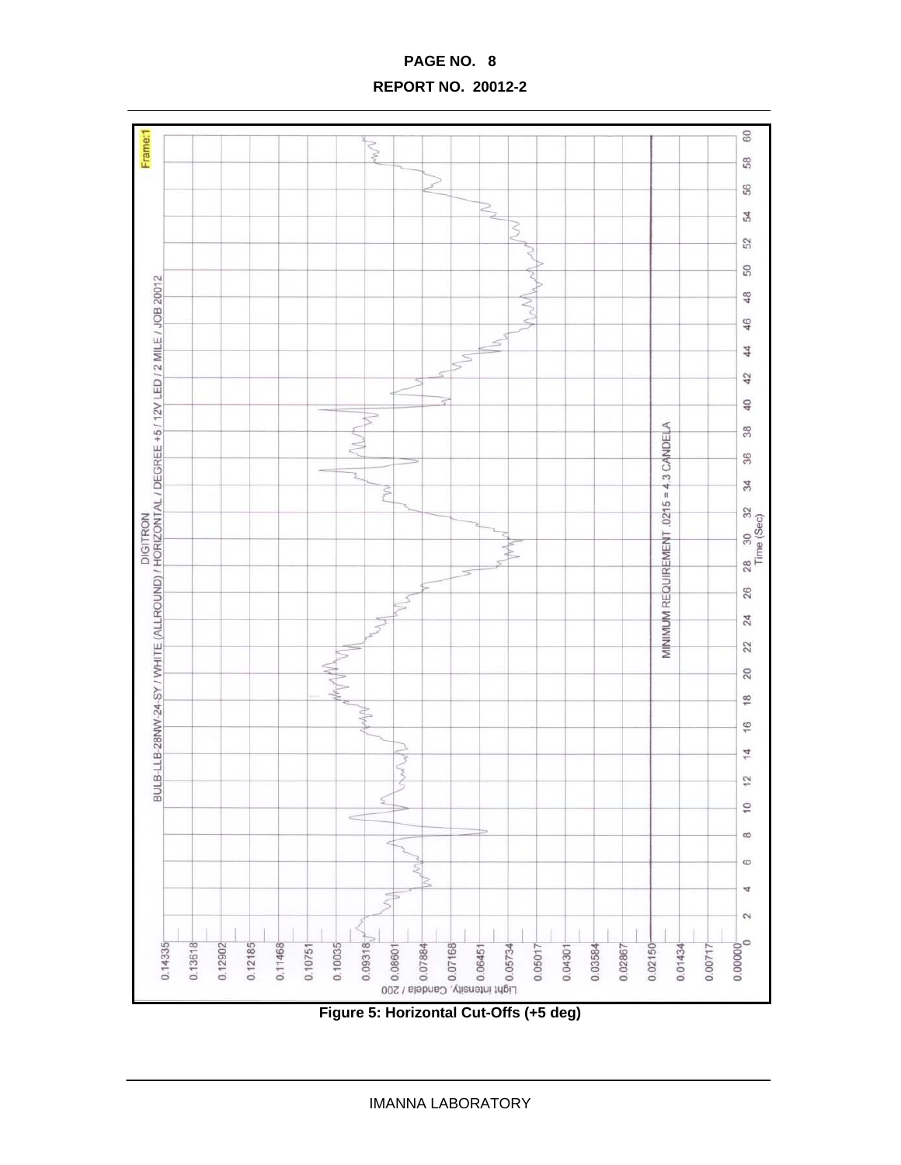**REPORT NO. 20012-2** 



**Figure 5: Horizontal Cut-Offs (+5 deg)** 

IMANNA LABORATORY

## **PAGE NO. 8**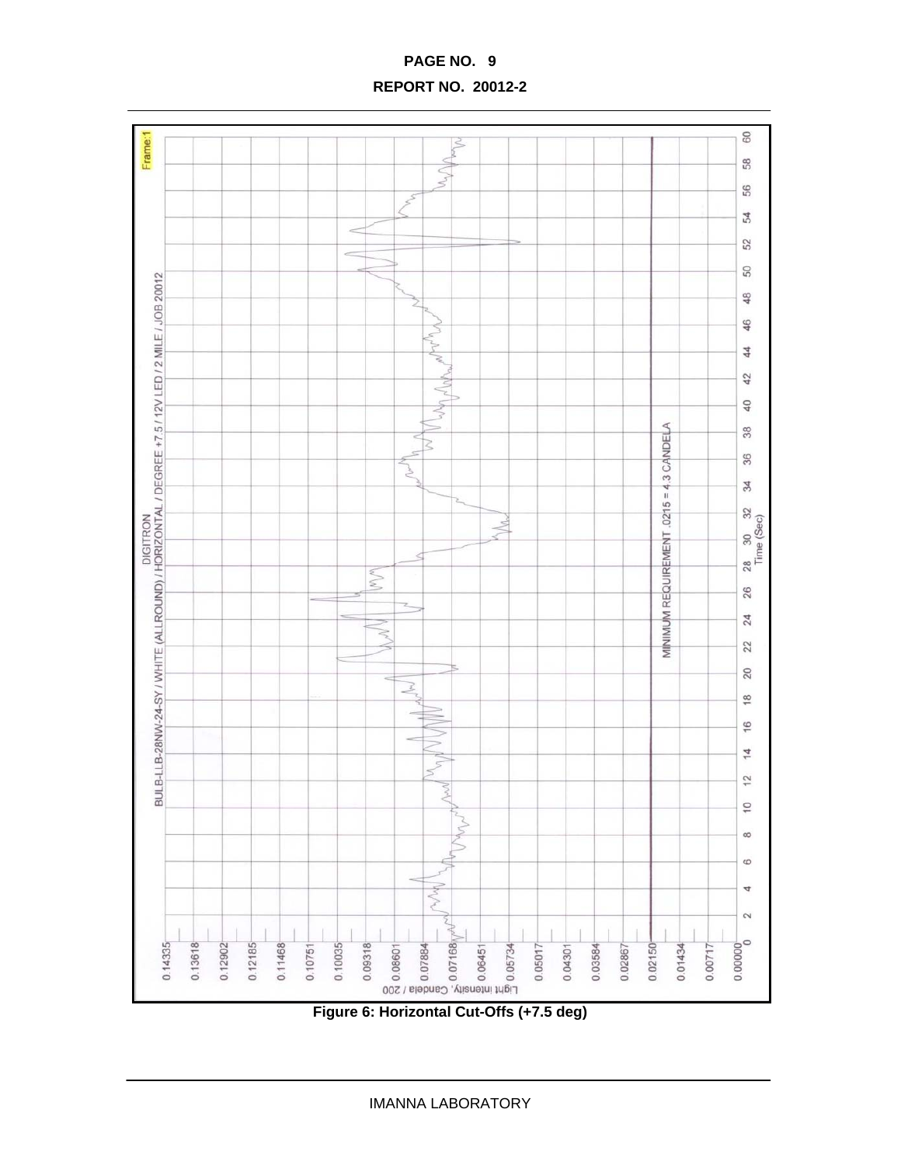$\overline{a}$  $\leq$ S  $\geq$  $\sim$  $\sim$ 5  $0215 = 4.3$  CANDELA Ż ₹ REQUIREMENT  $\mathbb{N}$ **MININIMUM** Ň 3 ξ

**REPORT NO. 20012-2** 

Frame:1

BULB-LLB-28NW-24-SY / WHITE (ALLROUND) / HORIZONTAL / DEGREE +7.5 / 12V LED / 2 MILE / JOB 20012<br>BULB-LLB-28NW-24-SY / WHITE (ALLROUND) / HORIZONTAL / DEGREE +7.5 / 12V LED / 2 MILE / JOB 20012

0.13618  $0.14335$ 

0.12902  $0.12185$ 0.11468

 $0.10751$ 0.10035 0.09318  $_{\rm 60}$ 

58 56 54

52

 ${\tt S0}$ 

48 46

44

42

 $\overline{40}$ 

 $38$ 

36

34

28 30 32<br>Time (Sec)

26

 $24$ 

 $22$  $20$ 

 $\frac{8}{1}$ 16  $\frac{4}{1}$  $\overline{2}$ 

 $\overline{10}$  $^{\circ}$ 6

4

2

 $0.00000$ 

0.02150

0.02867

0.01434

 $0.00717$ 

**Figure 6: Horizontal Cut-Offs (+7.5 deg)** 

0.08601<br>0.07884<br>0.07168<br>0.05734<br>0.05734<br>0.05734

 $0.05017$ 

 $0.04301$ 

0.03584

MW

IMANNA LABORATORY

## **PAGE NO. 9**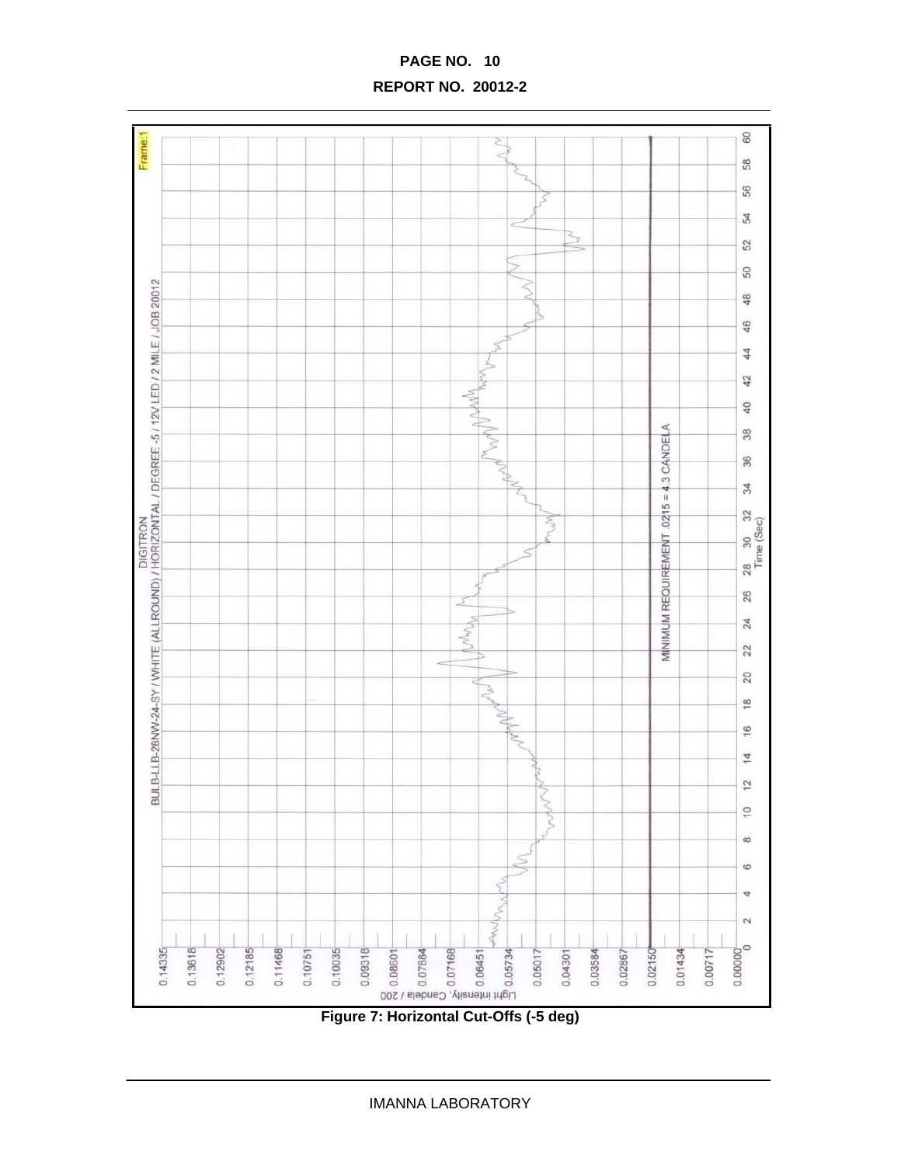

**PAGE NO. 10 REPORT NO. 20012-2**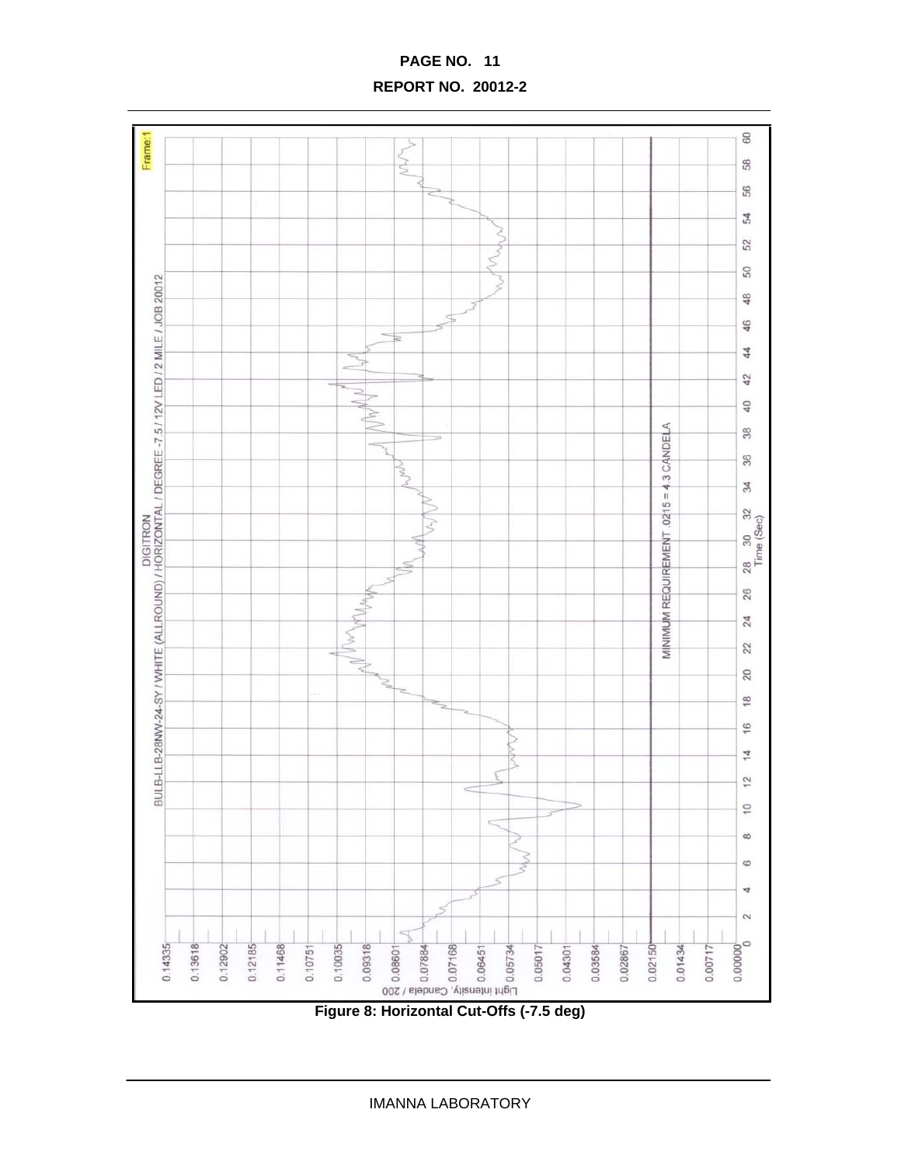**PAGE NO. 11 REPORT NO. 20012-2** 



**Figure 8: Horizontal Cut-Offs (-7.5 deg)**